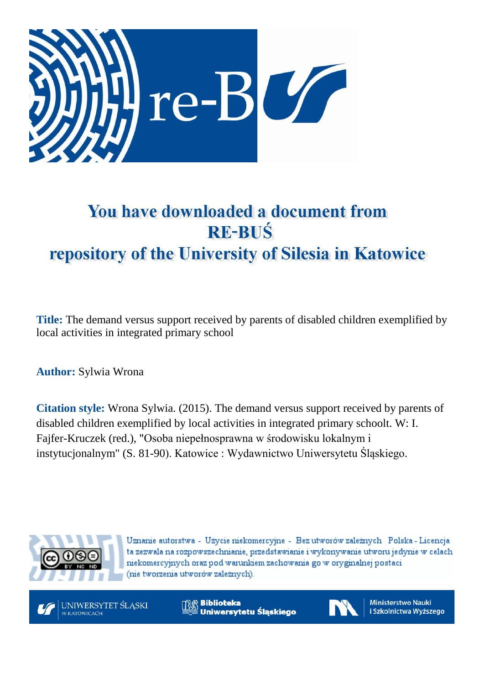

# You have downloaded a document from **RE-BUŚ** repository of the University of Silesia in Katowice

**Title:** The demand versus support received by parents of disabled children exemplified by local activities in integrated primary school

**Author:** Sylwia Wrona

**Citation style:** Wrona Sylwia. (2015). The demand versus support received by parents of disabled children exemplified by local activities in integrated primary schoolt. W: I. [Fajfer-Kruczek](https://integro.ciniba.edu.pl/integro/search/description?q=Fajfer-Kruczek%2C+Ilona.+Redaktor&index=2) [\(red.\),](https://integro.ciniba.edu.pl/integro/search/description?q=Fajfer-Kruczek%2C+Ilona.+Redaktor&index=2) "Osoba niepełnosprawna w środowisku lokalnym i instytucjonalnym" (S. 81-90). Katowice : Wydawnictwo Uniwersytetu Śląskiego.



Uznanie autorstwa - Użycie niekomercyjne - Bez utworów zależnych Polska - Licencja ta zezwala na rozpowszechnianie, przedstawianie i wykonywanie utworu jedynie w celach niekomercyjnych oraz pod warunkiem zachowania go w oryginalnej postaci (nie tworzenia utworów zależnych).



**Biblioteka** Uniwersytetu Śląskiego



**Ministerstwo Nauki** i Szkolnictwa Wyższego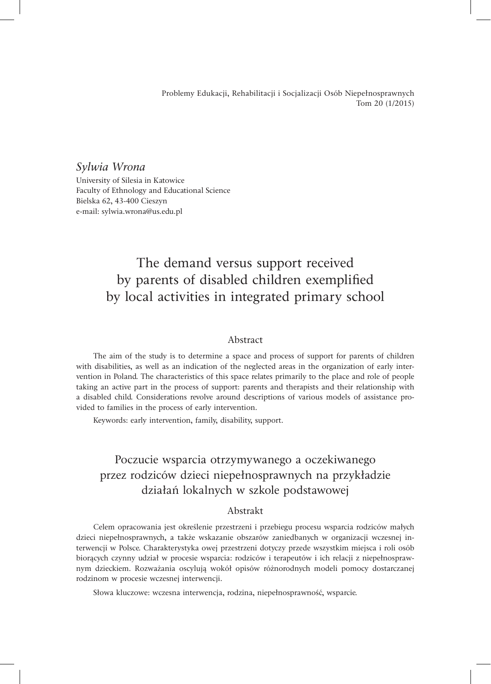Problemy Edukacji, Rehabilitacji i Socjalizacji Osób Niepełnosprawnych Tom 20 (1/2015)

*Sylwia Wrona*

University of Silesia in Katowice Faculty of Ethnology and Educational Science Bielska 62, 43 -400 Cieszyn e -mail: sylwia.wrona@us.edu.pl

# The demand versus support received by parents of disabled children exemplified by local activities in integrated primary school

#### Abstract

The aim of the study is to determine a space and process of support for parents of children with disabilities, as well as an indication of the neglected areas in the organization of early intervention in Poland. The characteristics of this space relates primarily to the place and role of people taking an active part in the process of support: parents and therapists and their relationship with a disabled child. Considerations revolve around descriptions of various models of assistance provided to families in the process of early intervention.

Keywords: early intervention, family, disability, support.

## Poczucie wsparcia otrzymywanego a oczekiwanego przez rodziców dzieci niepełnosprawnych na przykładzie działań lokalnych w szkole podstawowej

#### Abstrakt

Celem opracowania jest określenie przestrzeni i przebiegu procesu wsparcia rodziców małych dzieci niepełnosprawnych, a także wskazanie obszarów zaniedbanych w organizacji wczesnej interwencji w Polsce. Charakterystyka owej przestrzeni dotyczy przede wszystkim miejsca i roli osób biorących czynny udział w procesie wsparcia: rodziców i terapeutów i ich relacji z niepełnosprawnym dzieckiem. Rozważania oscylują wokół opisów różnorodnych modeli pomocy dostarczanej rodzinom w procesie wczesnej interwencji.

Słowa kluczowe: wczesna interwencja, rodzina, niepełnosprawność, wsparcie.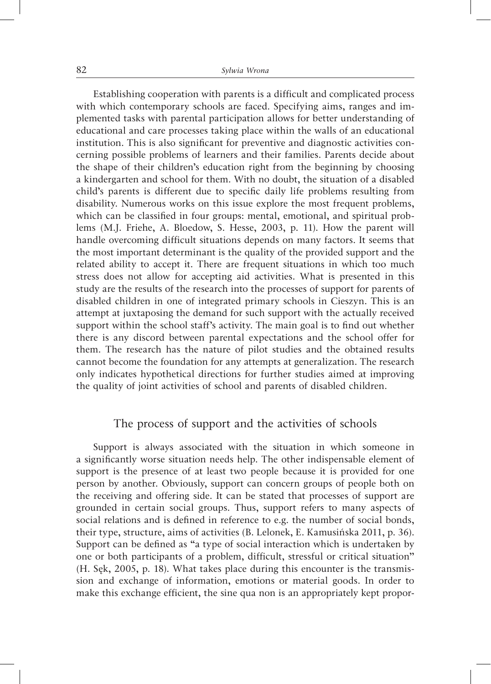Establishing cooperation with parents is a difficult and complicated process with which contemporary schools are faced. Specifying aims, ranges and implemented tasks with parental participation allows for better understanding of educational and care processes taking place within the walls of an educational institution. This is also significant for preventive and diagnostic activities concerning possible problems of learners and their families. Parents decide about the shape of their children's education right from the beginning by choosing a kindergarten and school for them. With no doubt, the situation of a disabled child's parents is different due to specific daily life problems resulting from disability. Numerous works on this issue explore the most frequent problems, which can be classified in four groups: mental, emotional, and spiritual problems (M.J. Friehe, A. Bloedow, S. Hesse, 2003, p. 11). How the parent will handle overcoming difficult situations depends on many factors. It seems that the most important determinant is the quality of the provided support and the related ability to accept it. There are frequent situations in which too much stress does not allow for accepting aid activities. What is presented in this study are the results of the research into the processes of support for parents of disabled children in one of integrated primary schools in Cieszyn. This is an attempt at juxtaposing the demand for such support with the actually received support within the school staff's activity. The main goal is to find out whether there is any discord between parental expectations and the school offer for them. The research has the nature of pilot studies and the obtained results cannot become the foundation for any attempts at generalization. The research only indicates hypothetical directions for further studies aimed at improving the quality of joint activities of school and parents of disabled children.

#### The process of support and the activities of schools

Support is always associated with the situation in which someone in a significantly worse situation needs help. The other indispensable element of support is the presence of at least two people because it is provided for one person by another. Obviously, support can concern groups of people both on the receiving and offering side. It can be stated that processes of support are grounded in certain social groups. Thus, support refers to many aspects of social relations and is defined in reference to e.g. the number of social bonds, their type, structure, aims of activities (B. Lelonek, E. Kamusińska 2011, p. 36). Support can be defined as "a type of social interaction which is undertaken by one or both participants of a problem, difficult, stressful or critical situation" (H. Sęk, 2005, p. 18). What takes place during this encounter is the transmission and exchange of information, emotions or material goods. In order to make this exchange efficient, the sine qua non is an appropriately kept propor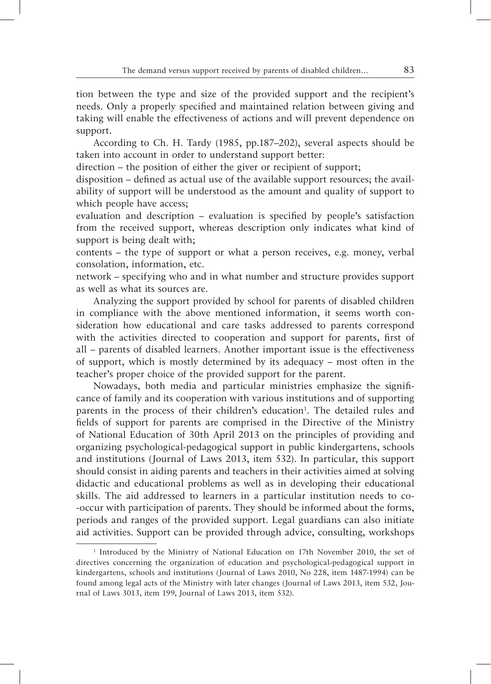tion between the type and size of the provided support and the recipient's needs. Only a properly specified and maintained relation between giving and taking will enable the effectiveness of actions and will prevent dependence on support.

According to Ch. H. Tardy (1985, pp.187–202), several aspects should be taken into account in order to understand support better:

direction – the position of either the giver or recipient of support;

disposition – defined as actual use of the available support resources; the availability of support will be understood as the amount and quality of support to which people have access;

evaluation and description – evaluation is specified by people's satisfaction from the received support, whereas description only indicates what kind of support is being dealt with;

contents – the type of support or what a person receives, e.g. money, verbal consolation, information, etc.

network – specifying who and in what number and structure provides support as well as what its sources are.

Analyzing the support provided by school for parents of disabled children in compliance with the above mentioned information, it seems worth consideration how educational and care tasks addressed to parents correspond with the activities directed to cooperation and support for parents, first of all – parents of disabled learners. Another important issue is the effectiveness of support, which is mostly determined by its adequacy – most often in the teacher's proper choice of the provided support for the parent.

Nowadays, both media and particular ministries emphasize the significance of family and its cooperation with various institutions and of supporting parents in the process of their children's education<sup>1</sup>. The detailed rules and fields of support for parents are comprised in the Directive of the Ministry of National Education of 30th April 2013 on the principles of providing and organizing psychological -pedagogical support in public kindergartens, schools and institutions (Journal of Laws 2013, item 532). In particular, this support should consist in aiding parents and teachers in their activities aimed at solving didactic and educational problems as well as in developing their educational skills. The aid addressed to learners in a particular institution needs to co- -occur with participation of parents. They should be informed about the forms, periods and ranges of the provided support. Legal guardians can also initiate aid activities. Support can be provided through advice, consulting, workshops

<sup>1</sup> Introduced by the Ministry of National Education on 17th November 2010, the set of directives concerning the organization of education and psychological -pedagogical support in kindergartens, schools and institutions (Journal of Laws 2010, No 228, item 1487-1994) can be found among legal acts of the Ministry with later changes (Journal of Laws 2013, item 532, Journal of Laws 3013, item 199, Journal of Laws 2013, item 532).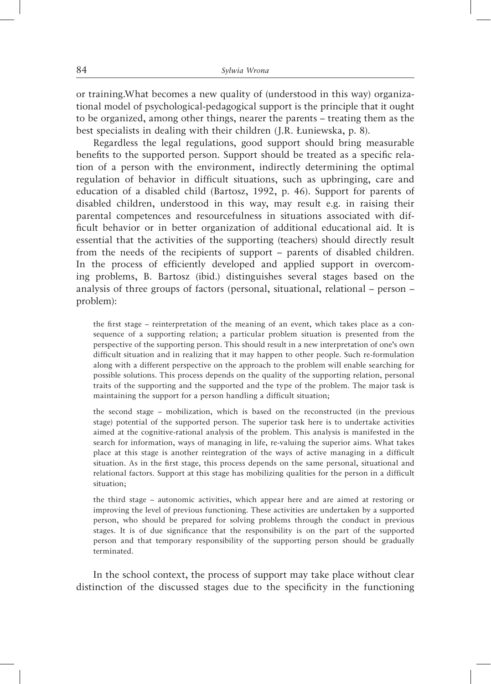or training.What becomes a new quality of (understood in this way) organizational model of psychological -pedagogical support is the principle that it ought to be organized, among other things, nearer the parents – treating them as the best specialists in dealing with their children (J.R. Łuniewska, p. 8).

Regardless the legal regulations, good support should bring measurable benefits to the supported person. Support should be treated as a specific relation of a person with the environment, indirectly determining the optimal regulation of behavior in difficult situations, such as upbringing, care and education of a disabled child (Bartosz, 1992, p. 46). Support for parents of disabled children, understood in this way, may result e.g. in raising their parental competences and resourcefulness in situations associated with difficult behavior or in better organization of additional educational aid. It is essential that the activities of the supporting (teachers) should directly result from the needs of the recipients of support – parents of disabled children. In the process of efficiently developed and applied support in overcoming problems, B. Bartosz (ibid.) distinguishes several stages based on the analysis of three groups of factors (personal, situational, relational – person – problem):

the first stage – reinterpretation of the meaning of an event, which takes place as a consequence of a supporting relation; a particular problem situation is presented from the perspective of the supporting person. This should result in a new interpretation of one's own difficult situation and in realizing that it may happen to other people. Such re -formulation along with a different perspective on the approach to the problem will enable searching for possible solutions. This process depends on the quality of the supporting relation, personal traits of the supporting and the supported and the type of the problem. The major task is maintaining the support for a person handling a difficult situation;

the second stage – mobilization, which is based on the reconstructed (in the previous stage) potential of the supported person. The superior task here is to undertake activities aimed at the cognitive -rational analysis of the problem. This analysis is manifested in the search for information, ways of managing in life, re -valuing the superior aims. What takes place at this stage is another reintegration of the ways of active managing in a difficult situation. As in the first stage, this process depends on the same personal, situational and relational factors. Support at this stage has mobilizing qualities for the person in a difficult situation;

the third stage – autonomic activities, which appear here and are aimed at restoring or improving the level of previous functioning. These activities are undertaken by a supported person, who should be prepared for solving problems through the conduct in previous stages. It is of due significance that the responsibility is on the part of the supported person and that temporary responsibility of the supporting person should be gradually terminated.

In the school context, the process of support may take place without clear distinction of the discussed stages due to the specificity in the functioning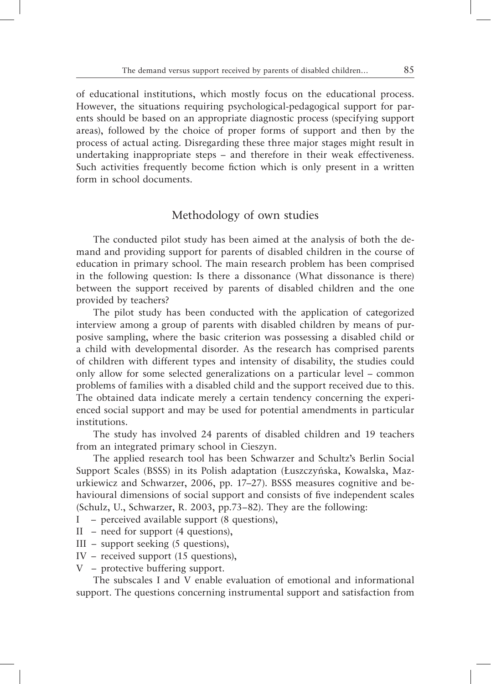of educational institutions, which mostly focus on the educational process. However, the situations requiring psychological -pedagogical support for parents should be based on an appropriate diagnostic process (specifying support areas), followed by the choice of proper forms of support and then by the process of actual acting. Disregarding these three major stages might result in undertaking inappropriate steps – and therefore in their weak effectiveness. Such activities frequently become fiction which is only present in a written form in school documents.

#### Methodology of own studies

The conducted pilot study has been aimed at the analysis of both the demand and providing support for parents of disabled children in the course of education in primary school. The main research problem has been comprised in the following question: Is there a dissonance (What dissonance is there) between the support received by parents of disabled children and the one provided by teachers?

The pilot study has been conducted with the application of categorized interview among a group of parents with disabled children by means of purposive sampling, where the basic criterion was possessing a disabled child or a child with developmental disorder. As the research has comprised parents of children with different types and intensity of disability, the studies could only allow for some selected generalizations on a particular level – common problems of families with a disabled child and the support received due to this. The obtained data indicate merely a certain tendency concerning the experienced social support and may be used for potential amendments in particular institutions.

The study has involved 24 parents of disabled children and 19 teachers from an integrated primary school in Cieszyn.

The applied research tool has been Schwarzer and Schultz's Berlin Social Support Scales (BSSS) in its Polish adaptation (Łuszczyńska, Kowalska, Mazurkiewicz and Schwarzer, 2006, pp. 17–27). BSSS measures cognitive and behavioural dimensions of social support and consists of five independent scales (Schulz, U., Schwarzer, R. 2003, pp.73–82). They are the following:

- I perceived available support (8 questions),
- II need for support (4 questions),
- III support seeking (5 questions),
- IV received support (15 questions),
- V protective buffering support.

The subscales I and V enable evaluation of emotional and informational support. The questions concerning instrumental support and satisfaction from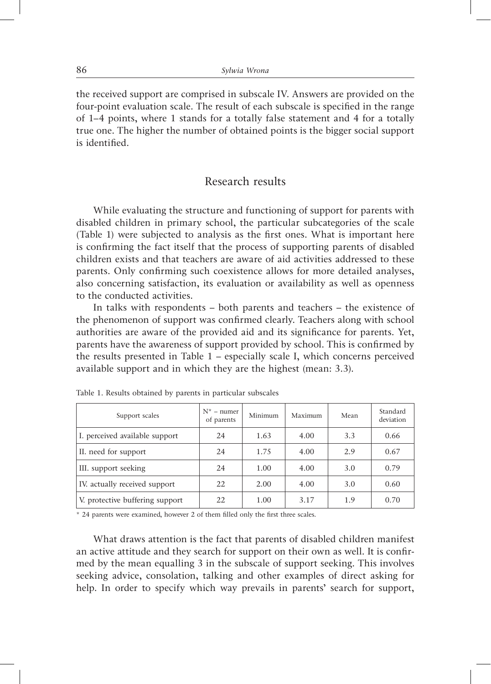the received support are comprised in subscale IV. Answers are provided on the four -point evaluation scale. The result of each subscale is specified in the range of 1–4 points, where 1 stands for a totally false statement and 4 for a totally true one. The higher the number of obtained points is the bigger social support is identified.

## Research results

While evaluating the structure and functioning of support for parents with disabled children in primary school, the particular subcategories of the scale (Table 1) were subjected to analysis as the first ones. What is important here is confirming the fact itself that the process of supporting parents of disabled children exists and that teachers are aware of aid activities addressed to these parents. Only confirming such coexistence allows for more detailed analyses, also concerning satisfaction, its evaluation or availability as well as openness to the conducted activities.

In talks with respondents – both parents and teachers – the existence of the phenomenon of support was confirmed clearly. Teachers along with school authorities are aware of the provided aid and its significance for parents. Yet, parents have the awareness of support provided by school. This is confirmed by the results presented in Table 1 – especially scale I, which concerns perceived available support and in which they are the highest (mean: 3.3).

| Support scales                  | $N^*$ – numer<br>of parents | Minimum | Maximum | Mean | Standard<br>deviation |
|---------------------------------|-----------------------------|---------|---------|------|-----------------------|
| I. perceived available support  | 24                          | 1.63    | 4.00    | 3.3  | 0.66                  |
| II. need for support            | 24                          | 1.75    | 4.00    | 2.9  | 0.67                  |
| III. support seeking            | 24                          | 1.00    | 4.00    | 3.0  | 0.79                  |
| IV. actually received support   | 22                          | 2.00    | 4.00    | 3.0  | 0.60                  |
| V. protective buffering support | 22                          | 1.00    | 3.17    | 1.9  | 0.70                  |

Table 1. Results obtained by parents in particular subscales

\* 24 parents were examined, however 2 of them filled only the first three scales.

What draws attention is the fact that parents of disabled children manifest an active attitude and they search for support on their own as well. It is confirmed by the mean equalling 3 in the subscale of support seeking. This involves seeking advice, consolation, talking and other examples of direct asking for help. In order to specify which way prevails in parents' search for support,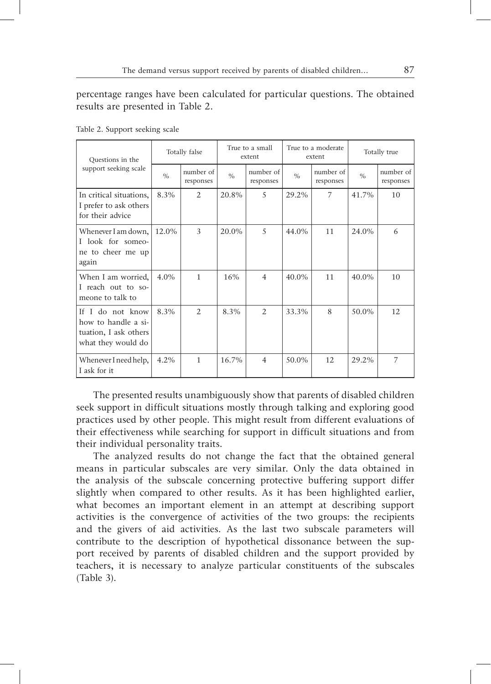#### percentage ranges have been calculated for particular questions. The obtained results are presented in Table 2.

| Questions in the<br>support seeking scale                                              | Totally false |                        | True to a small<br>extent |                        | True to a moderate<br>extent |                        | Totally true  |                        |
|----------------------------------------------------------------------------------------|---------------|------------------------|---------------------------|------------------------|------------------------------|------------------------|---------------|------------------------|
|                                                                                        | $\frac{0}{0}$ | number of<br>responses | $\frac{0}{0}$             | number of<br>responses | $\%$                         | number of<br>responses | $\frac{0}{0}$ | number of<br>responses |
| In critical situations,<br>I prefer to ask others<br>for their advice                  | 8.3%          | 2                      | 20.8%                     | .5                     | 29.2%                        | 7                      | 41.7%         | 10                     |
| Whenever I am down,<br>I look for someo-<br>ne to cheer me up<br>again                 | 12.0%         | 3                      | 20.0%                     | 5                      | 44.0%                        | 11                     | 24.0%         | 6                      |
| When I am worried,<br>I reach out to so-<br>meone to talk to                           | $4.0\%$       | $\mathbf{1}$           | 16%                       | $\overline{4}$         | 40.0%                        | 11                     | 40.0%         | 10                     |
| If I do not know<br>how to handle a si-<br>tuation, I ask others<br>what they would do | 8.3%          | $\mathcal{D}_{\alpha}$ | 8.3%                      | 2                      | 33.3%                        | 8                      | 50.0%         | 12                     |
| Whenever I need help,<br>I ask for it                                                  | 4.2%          | $\mathbf{1}$           | 16.7%                     | $\overline{4}$         | 50.0%                        | 12                     | 29.2%         | 7                      |

Table 2. Support seeking scale

The presented results unambiguously show that parents of disabled children seek support in difficult situations mostly through talking and exploring good practices used by other people. This might result from different evaluations of their effectiveness while searching for support in difficult situations and from their individual personality traits.

The analyzed results do not change the fact that the obtained general means in particular subscales are very similar. Only the data obtained in the analysis of the subscale concerning protective buffering support differ slightly when compared to other results. As it has been highlighted earlier, what becomes an important element in an attempt at describing support activities is the convergence of activities of the two groups: the recipients and the givers of aid activities. As the last two subscale parameters will contribute to the description of hypothetical dissonance between the support received by parents of disabled children and the support provided by teachers, it is necessary to analyze particular constituents of the subscales (Table 3).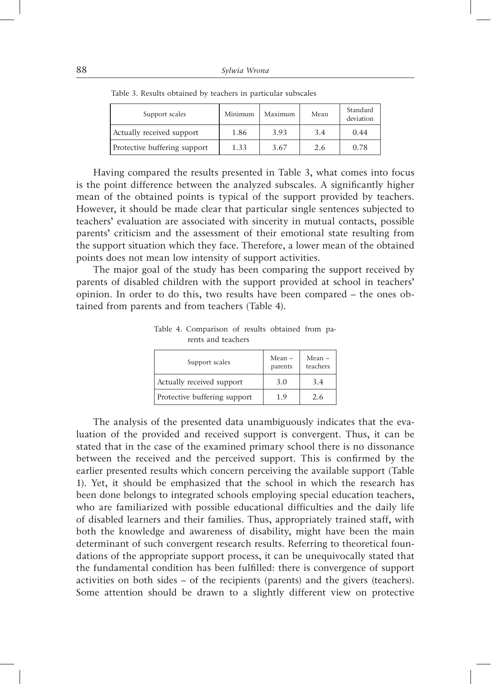| Support scales               | Minimum | Maximum | Mean | Standard<br>deviation |
|------------------------------|---------|---------|------|-----------------------|
| Actually received support    | 1.86    | 3.93    | 3.4  | 0.44                  |
| Protective buffering support | 1.33    | 3.67    | 2.6  | 0.78                  |

Table 3. Results obtained by teachers in particular subscales

Having compared the results presented in Table 3, what comes into focus is the point difference between the analyzed subscales. A significantly higher mean of the obtained points is typical of the support provided by teachers. However, it should be made clear that particular single sentences subjected to teachers' evaluation are associated with sincerity in mutual contacts, possible parents' criticism and the assessment of their emotional state resulting from the support situation which they face. Therefore, a lower mean of the obtained points does not mean low intensity of support activities.

The major goal of the study has been comparing the support received by parents of disabled children with the support provided at school in teachers' opinion. In order to do this, two results have been compared – the ones obtained from parents and from teachers (Table 4).

| Support scales               | Mean –<br>parents | Mean –<br>teachers |  |
|------------------------------|-------------------|--------------------|--|
| Actually received support    | 3.0               | 3.4                |  |
| Protective buffering support | 1.9               | 2.6                |  |

Table 4. Comparison of results obtained from parents and teachers

The analysis of the presented data unambiguously indicates that the evaluation of the provided and received support is convergent. Thus, it can be stated that in the case of the examined primary school there is no dissonance between the received and the perceived support. This is confirmed by the earlier presented results which concern perceiving the available support (Table 1). Yet, it should be emphasized that the school in which the research has been done belongs to integrated schools employing special education teachers, who are familiarized with possible educational difficulties and the daily life of disabled learners and their families. Thus, appropriately trained staff, with both the knowledge and awareness of disability, might have been the main determinant of such convergent research results. Referring to theoretical foundations of the appropriate support process, it can be unequivocally stated that the fundamental condition has been fulfilled: there is convergence of support activities on both sides – of the recipients (parents) and the givers (teachers). Some attention should be drawn to a slightly different view on protective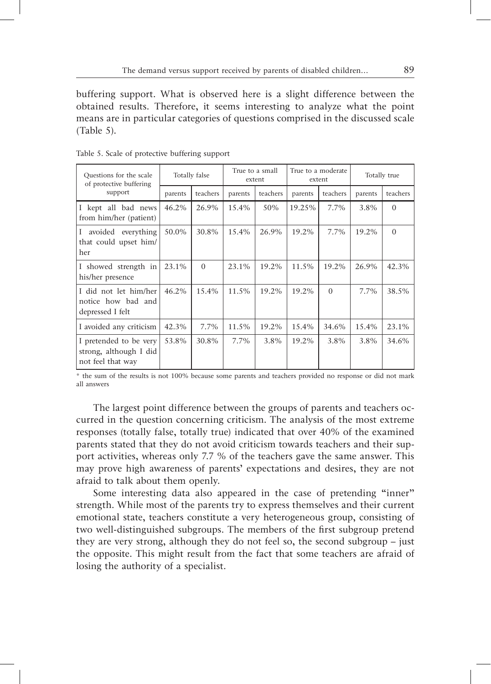buffering support. What is observed here is a slight difference between the obtained results. Therefore, it seems interesting to analyze what the point means are in particular categories of questions comprised in the discussed scale (Table 5).

| Questions for the scale<br>of protective buffering<br>support         | Totally false |              | True to a small<br>extent |          | True to a moderate<br>extent |          | Totally true |          |
|-----------------------------------------------------------------------|---------------|--------------|---------------------------|----------|------------------------------|----------|--------------|----------|
|                                                                       | parents       | teachers     | parents                   | teachers | parents                      | teachers | parents      | teachers |
| I kept all bad news<br>from him/her (patient)                         | 46.2%         | 26.9%        | 15.4%                     | 50%      | 19.25%                       | 7.7%     | 3.8%         | $\Omega$ |
| I avoided everything<br>that could upset him/<br>her                  | 50.0%         | 30.8%        | 15.4%                     | 26.9%    | 19.2%                        | 7.7%     | 19.2%        | $\Omega$ |
| I showed strength in<br>his/her presence                              | 23.1%         | $\mathbf{0}$ | 23.1%                     | 19.2%    | 11.5%                        | 19.2%    | 26.9%        | 42.3%    |
| I did not let him/her<br>notice how bad and<br>depressed I felt       | 46.2%         | 15.4%        | 11.5%                     | 19.2%    | 19.2%                        | $\Omega$ | $7.7\%$      | 38.5%    |
| I avoided any criticism                                               | 42.3%         | 7.7%         | 11.5%                     | 19.2%    | 15.4%                        | 34.6%    | 15.4%        | 23.1%    |
| I pretended to be very<br>strong, although I did<br>not feel that way | 53.8%         | 30.8%        | 7.7%                      | 3.8%     | 19.2%                        | 3.8%     | 3.8%         | 34.6%    |

Table 5. Scale of protective buffering support

\* the sum of the results is not 100% because some parents and teachers provided no response or did not mark all answers

The largest point difference between the groups of parents and teachers occurred in the question concerning criticism. The analysis of the most extreme responses (totally false, totally true) indicated that over 40% of the examined parents stated that they do not avoid criticism towards teachers and their support activities, whereas only 7.7 % of the teachers gave the same answer. This may prove high awareness of parents' expectations and desires, they are not afraid to talk about them openly.

Some interesting data also appeared in the case of pretending "inner" strength. While most of the parents try to express themselves and their current emotional state, teachers constitute a very heterogeneous group, consisting of two well -distinguished subgroups. The members of the first subgroup pretend they are very strong, although they do not feel so, the second subgroup – just the opposite. This might result from the fact that some teachers are afraid of losing the authority of a specialist.